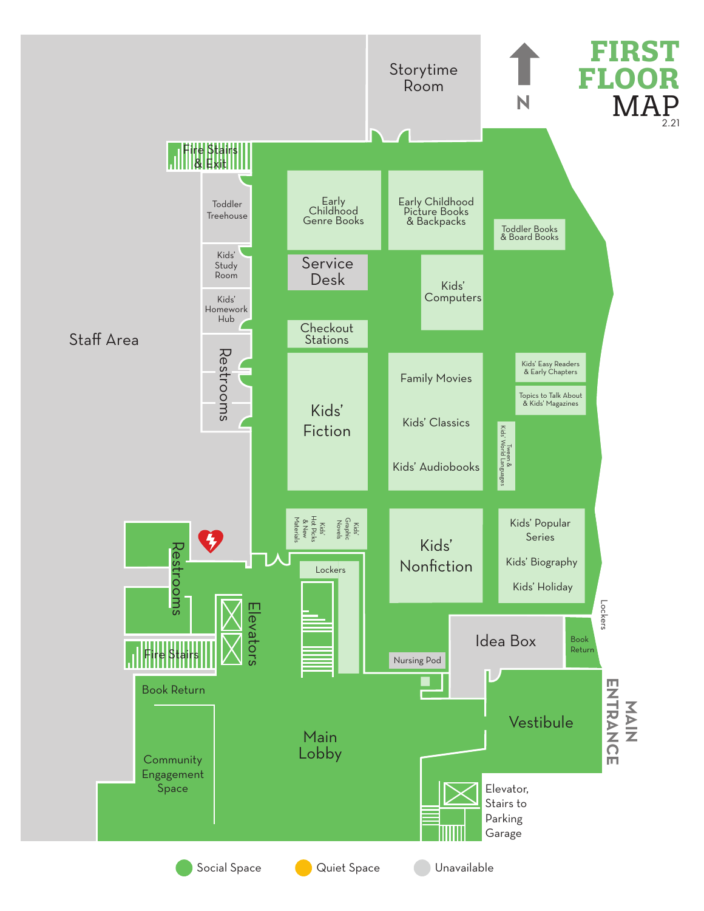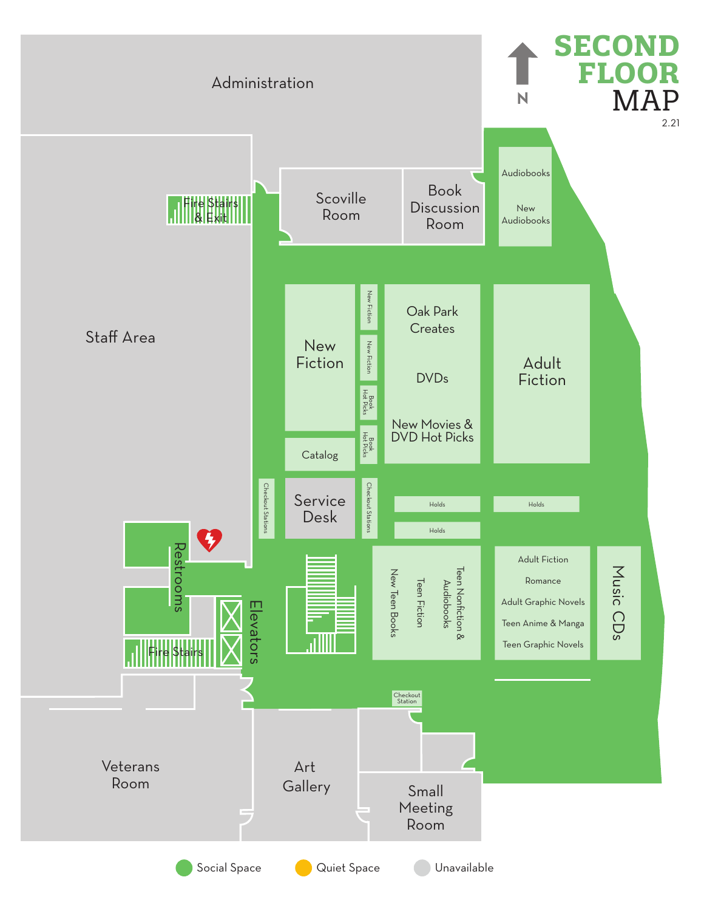